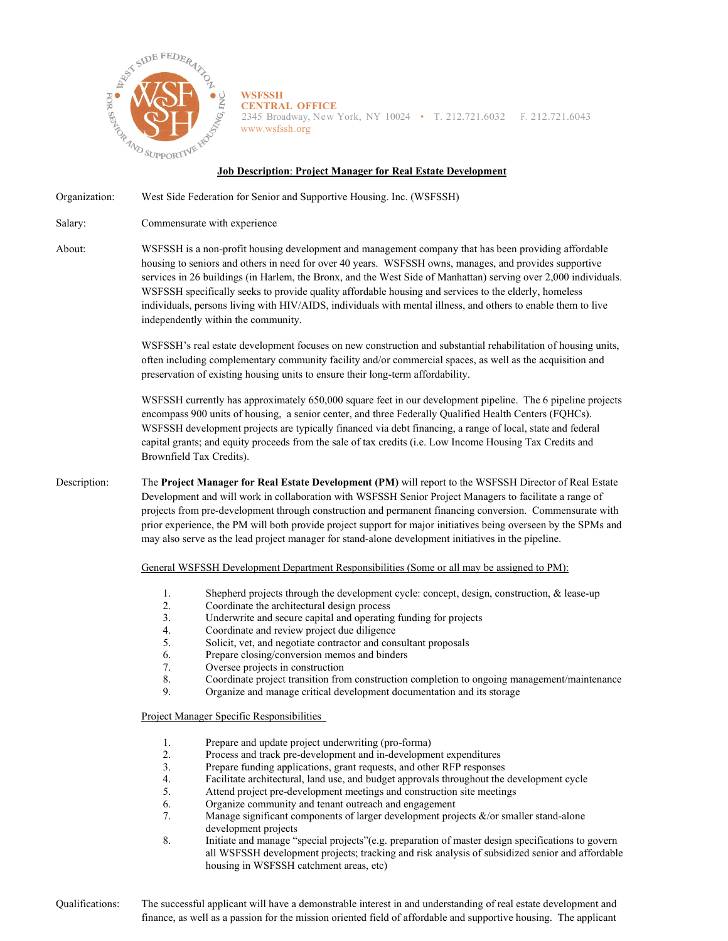

**WSFSSH CENTRAL OFFICE** 2345 Broadway, New York, NY 10024 • T. 212.721.6032 F. 212.721.6043 [www.wsfssh.org](http://www.wsfssh.org/)

## **Job Description**: **Project Manager for Real Estate Development**

Organization: West Side Federation for Senior and Supportive Housing. Inc. (WSFSSH)

Salary: Commensurate with experience

About: WSFSSH is a non-profit housing development and management company that has been providing affordable housing to seniors and others in need for over 40 years. WSFSSH owns, manages, and provides supportive services in 26 buildings (in Harlem, the Bronx, and the West Side of Manhattan) serving over 2,000 individuals. WSFSSH specifically seeks to provide quality affordable housing and services to the elderly, homeless individuals, persons living with HIV/AIDS, individuals with mental illness, and others to enable them to live independently within the community.

> WSFSSH's real estate development focuses on new construction and substantial rehabilitation of housing units, often including complementary community facility and/or commercial spaces, as well as the acquisition and preservation of existing housing units to ensure their long-term affordability.

> WSFSSH currently has approximately 650,000 square feet in our development pipeline. The 6 pipeline projects encompass 900 units of housing, a senior center, and three Federally Qualified Health Centers (FQHCs). WSFSSH development projects are typically financed via debt financing, a range of local, state and federal capital grants; and equity proceeds from the sale of tax credits (i.e. Low Income Housing Tax Credits and Brownfield Tax Credits).

Description: The **Project Manager for Real Estate Development (PM)** will report to the WSFSSH Director of Real Estate Development and will work in collaboration with WSFSSH Senior Project Managers to facilitate a range of projects from pre-development through construction and permanent financing conversion. Commensurate with prior experience, the PM will both provide project support for major initiatives being overseen by the SPMs and may also serve as the lead project manager for stand-alone development initiatives in the pipeline.

General WSFSSH Development Department Responsibilities (Some or all may be assigned to PM):

- 1. Shepherd projects through the development cycle: concept, design, construction, & lease-up
- 2. Coordinate the architectural design process<br>3. Underwrite and secure capital and operating
- Underwrite and secure capital and operating funding for projects
- 4. Coordinate and review project due diligence
- 5. Solicit, vet, and negotiate contractor and consultant proposals
- 6. Prepare closing/conversion memos and binders
- 7. Oversee projects in construction
- 8. Coordinate project transition from construction completion to ongoing management/maintenance<br>9 Organize and manage critical development documentation and its storage
	- Organize and manage critical development documentation and its storage

Project Manager Specific Responsibilities

- 1. Prepare and update project underwriting (pro-forma)
- 2. Process and track pre-development and in-development expenditures
- 3. Prepare funding applications, grant requests, and other RFP responses
- 4. Facilitate architectural, land use, and budget approvals throughout the development cycle<br>5. Attend project pre-development meetings and construction site meetings
- 5. Attend project pre-development meetings and construction site meetings 6. Organize community and tenant outreach and engagement
- Organize community and tenant outreach and engagement
- 7. Manage significant components of larger development projects &/or smaller stand-alone development projects
- 8. Initiate and manage "special projects"(e.g. preparation of master design specifications to govern all WSFSSH development projects; tracking and risk analysis of subsidized senior and affordable housing in WSFSSH catchment areas, etc)